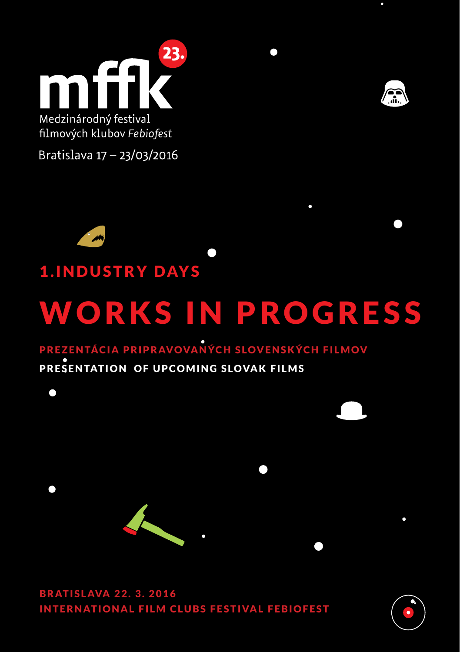



filmových klubov Febiofest

Bratislava 17 - 23/03/2016



### **1. INDUSTRY DAYS**

# WORKS IN PROGRESS

### PREZENTÁCIA PRIPRAVOVANÝCH SLOVENSKÝCH FILMOV

#### PRESENTATION OF UPCOMING SLOVAK FILMS



**BRATISLAVA 22. 3. 2016 INTERNATIONAL FILM CLUBS FESTIVAL FEBIOFEST** 

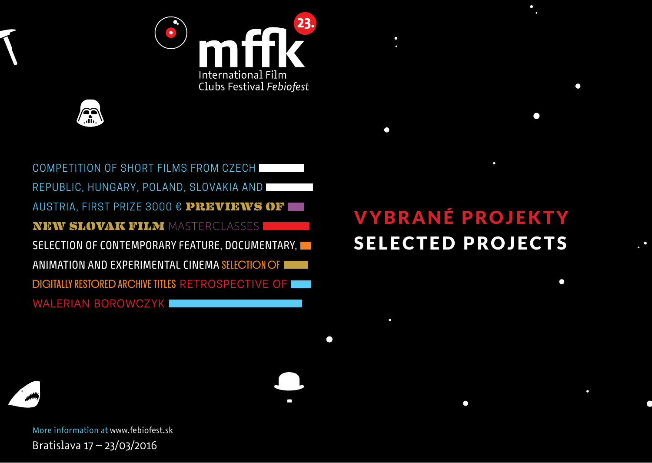



COMPETITION OF SHORT FILMS FROM CZECH REPUBLIC, HUNGARY, POLAND, SLOVAKIA AND AUSTRIA, FIRST PRIZE 3000 € PREVIEWS OF NEW SLOVAK FILM MASTERCLASSES SELECTION OF CONTEMPORARY FEATURE, DOCUMENTARY, ANIMATION AND EXPERIMENTAL CINEMA SELECTION OF DIGITALLY RESTORED ARCHIVE TITLES RETROSPECTIVE OF WALERIAN BOROWCZYK

# VYBRANÉ PROJEKTY SELECTED PROJECTS

 $\Box$ 

 $\bullet$ 

 $\bullet$ 

More information at www.febiofest.sk Bratislava 17 – 23/03/2016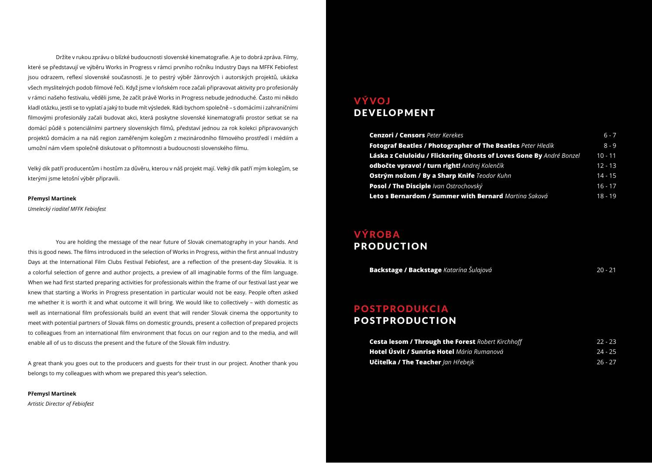Držíte v rukou zprávu o blízké budoucnosti slovenské kinematografie. A je to dobrá zpráva. Filmy, které se představují ve výběru Works in Progress v rámci prvního ročníku Industry Days na MFFK Febiofest jsou odrazem, reflexí slovenské současnosti. Je to pestrý výběr žánrových i autorských projektů, ukázka všech myslitelných podob filmové řeči. Když jsme v loňském roce začali připravovat aktivity pro profesionály v rámci našeho festivalu, věděli jsme, že začít právě Works in Progress nebude jednoduché. Často mi někdo kladl otázku, jestli se to vyplatí a jaký to bude mít výsledek. Rádi bychom společně – s domácími i zahraničními filmovými profesionály začali budovat akci, která poskytne slovenské kinematografii prostor setkat se na domácí půdě s potenciálními partnery slovenských filmů, představí jednou za rok kolekci připravovaných projektů domácím a na náš region zaměřeným kolegům z mezinárodního filmového prostředí i médiím a umožní nám všem společně diskutovat o přítomnosti a budoucnosti slovenského filmu.

Velký dík patří producentům i hostům za důvěru, kterou v náš projekt mají. Velký dík patří mým kolegům, se kterými jsme letošní výběr připravili.

#### **Přemysl Martinek**

*Umelecký riaditeľ MFFK Febiofest*

 You are holding the message of the near future of Slovak cinematography in your hands. And this is good news. The films introduced in the selection of Works in Progress, within the first annual Industry Days at the International Film Clubs Festival Febiofest, are a reflection of the present-day Slovakia. It is a colorful selection of genre and author projects, a preview of all imaginable forms of the film language. When we had first started preparing activities for professionals within the frame of our festival last year we knew that starting a Works in Progress presentation in particular would not be easy. People often asked me whether it is worth it and what outcome it will bring. We would like to collectively – with domestic as well as international film professionals build an event that will render Slovak cinema the opportunity to meet with potential partners of Slovak films on domestic grounds, present a collection of prepared projects to colleagues from an international film environment that focus on our region and to the media, and will enable all of us to discuss the present and the future of the Slovak film industry.

A great thank you goes out to the producers and guests for their trust in our project. Another thank you belongs to my colleagues with whom we prepared this year's selection.

**Přemysl Martinek** *Artistic Director of Febiofest*

#### VÝVOJ DEVELOPMENT

| <b>Cenzori / Censors Peter Kerekes</b>                              | $6 - 7$   |
|---------------------------------------------------------------------|-----------|
| <b>Fotograf Beatles / Photographer of The Beatles</b> Peter Hledik  | $8 - 9$   |
| Láska z Celuloidu / Flickering Ghosts of Loves Gone By André Bonzel | $10 - 11$ |
| odbočte vpravo! / turn right! Andrej Kolenčík                       | $12 - 13$ |
| Ostrým nožom / By a Sharp Knife Teodor Kuhn                         | $14 - 15$ |
| Posol / The Disciple /van Ostrochovský                              | $16 - 17$ |
| Leto s Bernardom / Summer with Bernard Martina Saková               | $18 - 19$ |

#### VÝROBA PRODUCTION

**Backstage / Backstage** *Katarína Šulajová*

20 - 21

#### POSTPRODUKCIA POSTPRODUCTION

| <b>Cesta lesom / Through the Forest Robert Kirchhoff</b> | $22 - 23$ |
|----------------------------------------------------------|-----------|
| Hotel Úsvit / Sunrise Hotel Mária Rumanová               | $24 - 25$ |
| <b>Učitelka / The Teacher</b> lan Hřebeik                | $26 - 27$ |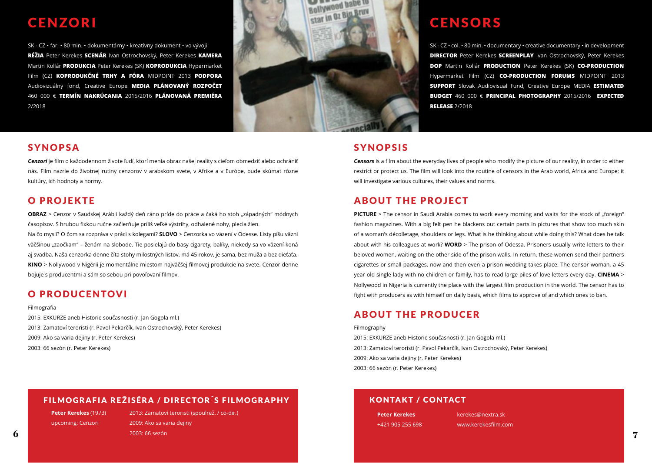### **CENZORI**

SK - CZ • far. • 80 min. • dokumentárny • kreatívny dokument • vo vývoji **RÉŽIA** Peter Kerekes **SCENÁR** Ivan Ostrochovský, Peter Kerekes **KAMERA** Martin Kollár **PRODUKCIA** Peter Kerekes (SK) **KOPRODUKCIA** Hypermarket Film (CZ) **KOPRODUKČNÉ TRHY A FÓRA** MIDPOINT 2013 **PODPORA** Audiovizuálny fond, Creative Europe **MEDIA PLÁNOVANÝ ROZPOČET** 460 000 € **TERMÍN NAKRÚCANIA** 2015/2016 **PLÁNOVANÁ PREMIÉRA** 2/2018



#### SYNOPSA

*Cenzori* je film o každodennom živote ľudí, ktorí menia obraz našej reality s cieľom obmedziť alebo ochrániť nás. Film nazrie do životnej rutiny cenzorov v arabskom svete, v Afrike a v Európe, bude skúmať rôzne kultúry, ich hodnoty a normy.

#### O PROJEKTE

**OBRAZ** > Cenzor v Saudskej Arábii každý deň ráno príde do práce a čaká ho stoh "západných" módnych časopisov. S hrubou fixkou ručne začierňuje príliš veľké výstrihy, odhalené nohy, plecia žien.

Na čo myslí? O čom sa rozpráva v práci s kolegami? **SLOVO** > Cenzorka vo väzení v Odesse. Listy píšu väzni väčšinou "zaočkam" – ženám na slobode. Tie posielajú do basy cigarety, balíky, niekedy sa vo väzení koná aj svadba. Naša cenzorka denne číta stohy milostných listov, má 45 rokov, je sama, bez muža a bez dieťaťa. **KINO** > Nollywood v Nigérii je momentálne miestom najväčšej filmovej produkcie na svete. Cenzor denne bojuje s producentmi a sám so sebou pri povoľovaní filmov.

#### O PRODUCENTOVI

Filmografia

2015: EXKURZE aneb Historie současnosti (r. Jan Gogola ml.) 2013: Zamatoví teroristi (r. Pavol Pekarčík, Ivan Ostrochovský, Peter Kerekes) 2009: Ako sa varia dejiny (r. Peter Kerekes) 2003: 66 sezón (r. Peter Kerekes)

### CENSORS

SK - CZ • col. • 80 min. • documentary • creative documentary • in development **DIRECTOR** Peter Kerekes **SCREENPLAY** Ivan Ostrochovský, Peter Kerekes **DOP** Martin Kollár **PRODUCTION** Peter Kerekes (SK) **CO-PRODUCTION**  Hypermarket Film (CZ) **CO-PRODUCTION FORUMS** MIDPOINT 2013 **SUPPORT** Slovak Audiovisual Fund, Creative Europe MEDIA **ESTIMATED BUDGET** 460 000 € **PRINCIPAL PHOTOGRAPHY** 2015/2016 **EXPECTED RELEASE** 2/2018

#### SYNOPSIS

*Censors* is a film about the everyday lives of people who modify the picture of our reality, in order to either restrict or protect us. The film will look into the routine of censors in the Arab world, Africa and Europe; it will investigate various cultures, their values and norms.

#### ABOUT THE PROJECT

**PICTURE** > The censor in Saudi Arabia comes to work every morning and waits for the stock of "foreign" fashion magazines. With a big felt pen he blackens out certain parts in pictures that show too much skin of a woman's décolletage, shoulders or legs. What is he thinking about while doing this? What does he talk about with his colleagues at work? **WORD** > The prison of Odessa. Prisoners usually write letters to their beloved women, waiting on the other side of the prison walls. In return, these women send their partners cigarettes or small packages, now and then even a prison wedding takes place. The censor woman, a 45 year old single lady with no children or family, has to read large piles of love letters every day. **CINEMA** > Nollywood in Nigeria is currently the place with the largest film production in the world. The censor has to fight with producers as with himself on daily basis, which films to approve of and which ones to ban.

#### ABOUT THE PRODUCER

Filmography 2015: EXKURZE aneb Historie současnosti (r. Jan Gogola ml.) 2013: Zamatoví teroristi (r. Pavol Pekarčík, Ivan Ostrochovský, Peter Kerekes) 2009: Ako sa varia dejiny (r. Peter Kerekes) 2003: 66 sezón (r. Peter Kerekes)

#### FILMOGRAFIA REŽISÉRA / DIRECTOR´S FILMOGRAPHY

**Peter Kerekes** (1973) upcoming: Cenzori

 $\bf{6}$  , and the contract of the contract of the contract of the contract of the contract of the contract of the contract of the contract of the contract of the contract of the contract of the contract of the contract of 2013: Zamatoví teroristi (spoulrež. / co-dir.) 2009: Ako sa varia dejiny 2003: 66 sezón

#### KONTAKT / CONTACT

**Peter Kerekes** +421 905 255 698 kerekes@nextra.sk www.kerekesfilm.com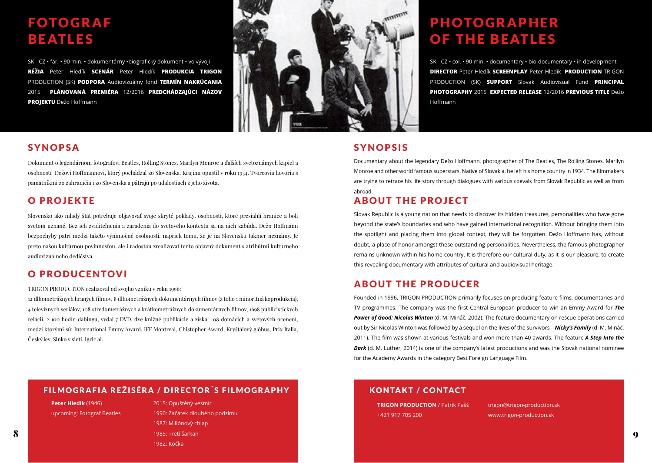### FOTOGRAF BEATLES

SK - CZ • far. • 90 min. • dokumentárny •biografický dokument • vo vývoji **RÉŽIA** Peter Hledík **SCENÁR** Peter Hledík **PRODUKCIA TRIGON** PRODUCTION (SK) **PODPORA** Audiovizuálny fond **TERMÍN NAKRÚCANIA** 2015 **PLÁNOVANÁ PREMIÉRA** 12/2016 **PREDCHÁDZAJÚCI NÁZOV PROJEKTU** Dežo Hoffmann



#### SYNOPSA

Dokument o legendárnom fotografovi Beatles, Rolling Stones, Marilyn Monroe a ďalších svetoznámych kapiel a osobností Dežovi Hoffmannovi, ktorý pochádzal zo Slovenska. Krajinu opustil v roku 1934. Tvorcovia hovoria s pamätníkmi zo zahraničia i zo Slovenska a pátrajú po udalostiach z jeho života.

#### O PROJEKTE

Slovensko ako mladý štát potrebuje objavovať svoje skryté poklady, osobnosti, ktoré presiahli hranice a boli svetom uznané. Bez ich zviditeľnenia a zaradenia do svetového kontextu sa na nich zabúda. Dežo Hoffmann bezpochyby patrí medzi takéto výnimočné osobnosti, napriek tomu, že je na Slovensku takmer neznámy. Je preto našou kultúrnou povinnosťou, ale i radosťou zrealizovať tento objavný dokument s atribútmi kultúrneho audiovizuálneho dedičstva.

#### O PRODUCENTOVI

TRIGON PRODUCTION realizoval od svojho vzniku v roku 1996:

12 dlhometrážnych hraných filmov, 8 dlhometrážnych dokumentárnych filmov (z toho 1 minoritná koprodukcia), 4 televíznych seriálov, 108 stredometrážnych a krátkometrážnych dokumentárnych filmov, 1698 publicistických relácií, 2 100 hodín dabingu, vydal 7 DVD, dve knižné publikácie a získal 108 domácich a svetových ocenení, medzi ktorými sú: International Emmy Award, IFF Montreal, Chistopher Award, Kryštálový glóbus, Prix Italia, Český lev, Slnko v sieti, Igric ai.

### PHOTOGRAPHER OF THE BEATLES

SK - CZ • col. • 90 min. • documentary • bio-documentary • in development **DIRECTOR** Peter Hledík **SCREENPLAY** Peter Hledík **PRODUCTION** TRIGON PRODUCTION (SK) **SUPPORT** Slovak Audiovisual Fund **PRINCIPAL PHOTOGRAPHY** 2015 **EXPECTED RELEASE** 12/2016 **PREVIOUS TITLE** Dežo Hoffmann

#### SYNOPSIS

Documentary about the legendary Dežo Hoffmann, photographer of The Beatles, The Rolling Stones, Marilyn Monroe and other world famous superstars. Native of Slovakia, he left his home country in 1934. The filmmakers are trying to retrace his life story through dialogues with various coevals from Slovak Republic as well as from abroad.

### ABOUT THE PROJECT

Slovak Republic is a young nation that needs to discover its hidden treasures, personalities who have gone beyond the state's boundaries and who have gained international recognition. Without bringing them into the spotlight and placing them into global context, they will be forgotten. Dežo Hoffmann has, without doubt, a place of honor amongst these outstanding personalities. Nevertheless, the famous photographer remains unknown within his home-country. It is therefore our cultural duty, as it is our pleasure, to create this revealing documentary with attributes of cultural and audiovisual heritage.

#### ABOUT THE PRODUCER

Founded in 1996, TRIGON PRODUCTION primarily focuses on producing feature films, documentaries and TV programmes. The company was the first Central-European producer to win an Emmy Award for *The Power of Good: Nicolas Winton* (d. M. Mináč, 2002). The feature documentary on rescue operations carried out by Sir Nicolas Winton was followed by a sequel on the lives of the survivors – *Nicky's Family* (d. M. Mináč, 2011). The film was shown at various festivals and won more than 40 awards. The feature *A Step Into the*  **Dark** (d. M. Luther, 2014) is one of the company's latest productions and was the Slovak national nominee for the Academy Awards in the category Best Foreign Language Film.

#### FILMOGRAFIA REŽISÉRA / DIRECTOR´S FILMOGRAPHY

**Peter Hledík** (1946) upcoming: Fotograf Beatles

 $\bf 8$  , and the contract of the contract of the contract of the contract of the contract of the contract of the contract of the contract of the contract of the contract of the contract of the contract of the contract of 2015: Opuštěný vesmír 1990: Začátek dlouhého podzimu 1987: Miliónový chlap 1985: Tretí šarkan 1982: Kočka

#### KONTAKT / CONTACT

**TRIGON PRODUCTION** / Patrik Pašš +421 917 705 200

trigon@trigon-production.sk www.trigon-production.sk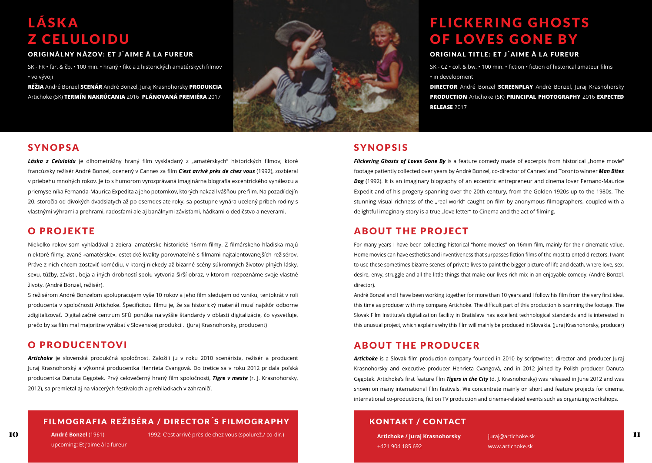### LÁSKA Z CELULOIDU

SK - FR • far. & čb. • 100 min. • hraný • fikcia z historických amatérskych filmov • vo vývoji

**RÉŽIA** André Bonzel **SCENÁR** André Bonzel, Juraj Krasnohorsky **PRODUKCIA** Artichoke (SK) **TERMÍN NAKRÚCANIA** 2016 **PLÁNOVANÁ PREMIÉRA** 2017



#### SYNOPSA

Láska z Celuloidu je dlhometrážny hraný film vyskladaný z "amatérskych" historických filmov, ktoré francúzsky režisér André Bonzel, ocenený v Cannes za film *C'est arrivé près de chez vous* (1992), zozbieral v priebehu mnohých rokov. Je to s humorom vyrozprávaná imaginárna biografia excentrického vynálezcu a priemyselníka Fernanda-Maurica Expedita a jeho potomkov, ktorých nakazil vášňou pre film. Na pozadí dejín 20. storočia od divokých dvadsiatych až po osemdesiate roky, sa postupne vynára ucelený príbeh rodiny s vlastnými výhrami a prehrami, radosťami ale aj banálnymi závisťami, hádkami o dedičstvo a neverami.

#### O PROJEKTE

Niekoľko rokov som vyhľadával a zbieral amatérske historické 16mm filmy. Z filmárskeho hľadiska majú niektoré filmy, zvané «amatérske», estetické kvality porovnateľné s filmami najtalentovanejších režisérov. Práve z nich chcem zostaviť komédiu, v ktorej niekedy až bizarné scény súkromných životov plných lásky, sexu, túžby, závisti, boja a iných drobností spolu vytvoria širší obraz, v ktorom rozpoznáme svoje vlastné životy. (André Bonzel, režisér).

S režisérom André Bonzelom spolupracujem vyše 10 rokov a jeho film sledujem od vzniku, tentokrát v roli producenta v spoločnosti Artichoke. Špecificitou filmu je, že sa historický materiál musí najskôr odborne zdigitalizovať. Digitalizačné centrum SFÚ ponúka najvyššie štandardy v oblasti digitalizácie, čo vysvetľuje, prečo by sa film mal majoritne vyrábať v Slovenskej produkcii. (Juraj Krasnohorsky, producent)

#### O PRODUCENTOVI

*Artichoke* je slovenská produkčná spoločnosť. Založili ju v roku 2010 scenárista, režisér a producent Juraj Krasnohorský a výkonná producentka Henrieta Cvangová. Do tretice sa v roku 2012 pridala poľská producentka Danuta Gęgotek. Prvý celovečerný hraný film spoločnosti, *Tigre v meste* (r. J. Krasnohorsky, 2012), sa premietal aj na viacerých festivaloch a prehliadkach v zahraničí.

#### FILMOGRAFIA REŽISÉRA / DIRECTOR´S FILMOGRAPHY

**André Bonzel** (1961) upcoming: Et j'aime à la fureur

10 **1992:** C'est arrivé près de chez vous (spolurež./ co-dir.) and the chemical contribution de la contr<mark>artichoke / Jurai Krasnohorsky</mark> and the change of the change of the change of the change of the change of the change

### FLICKERING GHOSTS OF LOVES GONE BY

SK - CZ • col. & bw. • 100 min. • fiction • fiction of historical amateur films • in development

**DIRECTOR** André Bonzel **SCREENPLAY** André Bonzel, Juraj Krasnohorsky **PRODUCTION** Artichoke (SK) **PRINCIPAL PHOTOGRAPHY** 2016 **EXPECTED RELEASE** 2017

#### SYNOPSIS

**Flickering Ghosts of Loves Gone By** is a feature comedy made of excerpts from historical "home movie" footage patiently collected over years by André Bonzel, co-director of Cannes' and Toronto winner *Man Bites Dog* (1992). It is an imaginary biography of an eccentric entrepreneur and cinema lover Fernand-Maurice Expedit and of his progeny spanning over the 20th century, from the Golden 1920s up to the 1980s. The stunning visual richness of the "real world" caught on film by anonymous filmographers, coupled with a delightful imaginary story is a true "love letter" to Cinema and the act of filming.

#### ABOUT THE PROJECT

For many years I have been collecting historical "home movies" on 16mm film, mainly for their cinematic value. Home movies can have esthetics and inventiveness that surpasses fiction films of the most talented directors. I want to use these sometimes bizarre scenes of private lives to paint the bigger picture of life and death, where love, sex, desire, envy, struggle and all the little things that make our lives rich mix in an enjoyable comedy. (André Bonzel, director).

André Bonzel and I have been working together for more than 10 years and I follow his film from the very first idea, this time as producer with my company Artichoke. The difficult part of this production is scanning the footage. The Slovak Film Institute's digitalization facility in Bratislava has excellent technological standards and is interested in this unusual project, which explains why this film will mainly be produced in Slovakia. (Juraj Krasnohorsky, producer)

#### ABOUT THE PRODUCER

*Artichoke* is a Slovak film production company founded in 2010 by scriptwriter, director and producer Juraj Krasnohorsky and executive producer Henrieta Cvangová, and in 2012 joined by Polish producer Danuta Gęgotek. Artichoke's first feature film *Tigers in the City* (d. J. Krasnohorsky) was released in June 2012 and was shown on many international film festivals. We concentrate mainly on short and feature projects for cinema, international co-productions, fiction TV production and cinema-related events such as organizing workshops.

#### KONTAKT / CONTACT

**Artichoke / Juraj Krasnohorsky** +421 904 185 692

juraj@artichoke.sk www.artichoke.sk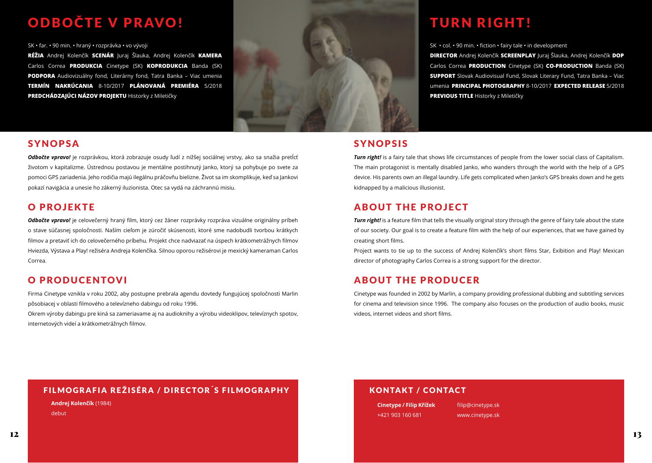### O D BOČTE V PRAVO!

SK • far. • 90 min. • hraný • rozprávka • vo vývoji

**RÉŽIA** Andrej Kolenčík **SCENÁR** Juraj Šlauka, Andrej Kolenčík **KAMERA** Carlos Correa **PRODUKCIA** Cinetype (SK) **KOPRODUKCIA** Banda (SK) **PODPORA** Audiovizuálny fond, Literárny fond, Tatra Banka – Viac umenia **TERMÍN NAKRÚCANIA** 8-10/2017 **PLÁNOVANÁ PREMIÉRA** 5/2018 **PREDCHÁDZAJÚCI NÁZOV PROJEKTU** Historky z Miletičky



#### **SYNOPSA**

*Odbočte vpravo!* je rozprávkou, ktorá zobrazuje osudy ľudí z nižšej sociálnej vrstvy, ako sa snažia pretĺcť životom v kapitalizme. Ústrednou postavou je mentálne postihnutý Janko, ktorý sa pohybuje po svete za pomoci GPS zariadenia. Jeho rodičia majú ilegálnu práčovňu bielizne. Život sa im skomplikuje, keď sa Jankovi pokazí navigácia a unesie ho zákerný iluzionista. Otec sa vydá na záchrannú misiu.

#### O PROJEKTE

*Odbočte vpravo!* je celovečerný hraný film, ktorý cez žáner rozprávky rozpráva vizuálne originálny príbeh o stave súčasnej spoločnosti. Naším cieľom je zúročiť skúsenosti, ktoré sme nadobudli tvorbou krátkych filmov a pretaviť ich do celovečerného príbehu. Projekt chce nadviazať na úspech krátkometrážnych filmov Hviezda, Výstava a Play! režiséra Andreja Kolenčíka. Silnou oporou režisérovi je mexický kameraman Carlos Correa.

### O PRODUCENTOVI

Firma Cinetype vznikla v roku 2002, aby postupne prebrala agendu dovtedy fungujúcej spoločnosti Marlin pôsobiacej v oblasti filmového a televízneho dabingu od roku 1996.

Okrem výroby dabingu pre kiná sa zameriavame aj na audioknihy a výrobu videoklipov, televíznych spotov, internetových videí a krátkometrážnych filmov.

### TURN RIGHT!

SK • col. • 90 min. • fiction • fairy tale • in development

**DIRECTOR** Andrej Kolenčík **SCREENPLAY** Juraj Šlauka, Andrej Kolenčík **DOP** Carlos Correa **PRODUCTION** Cinetype (SK) **CO-PRODUCTION** Banda (SK) **SUPPORT** Slovak Audiovisual Fund, Slovak Literary Fund, Tatra Banka – Viac umenia **PRINCIPAL PHOTOGRAPHY** 8-10/2017 **EXPECTED RELEASE** 5/2018 **PREVIOUS TITLE** Historky z Miletičky

#### **SYNOPSIS**

*Turn right!* is a fairy tale that shows life circumstances of people from the lower social class of Capitalism. The main protagonist is mentally disabled Janko, who wanders through the world with the help of a GPS device. His parents own an illegal laundry. Life gets complicated when Janko's GPS breaks down and he gets kidnapped by a malicious illusionist.

### ABOUT THE PROJECT

*Turn right!* is a feature film that tells the visually original story through the genre of fairy tale about the state of our society. Our goal is to create a feature film with the help of our experiences, that we have gained by creating short films.

Project wants to tie up to the success of Andrej Kolenčík's short films Star, Exibition and Play! Mexican director of photography Carlos Correa is a strong support for the director.

### ABOUT THE PRODUCER

Cinetype was founded in 2002 by Marlin, a company providing professional dubbing and subtitling services for cinema and television since 1996. The company also focuses on the production of audio books, music videos, internet videos and short films.

#### FILMOGRAFIA REŽISÉRA / DIRECTOR´S FILMOGRAPHY

**Andrej Kolenčík** (1984)

debut

#### KONTAKT / CONTACT

**Cinetype / Filip Křížek** +421 903 160 681

filip@cinetype.sk www.cinetype.sk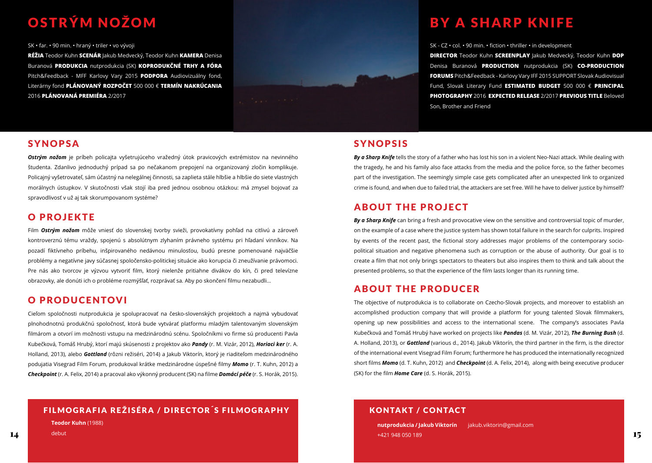## OSTRÝM NOŽOM

SK • far. • 90 min. • hraný • triler • vo vývoji

**RÉŽIA** Teodor Kuhn **SCENÁR** Jakub Medvecký, Teodor Kuhn **KAMERA** Denisa Buranová **PRODUKCIA** nutprodukcia (SK) **KOPRODUKČNÉ TRHY A FÓRA** Pitch&Feedback - MFF Karlovy Vary 2015 **PODPORA** Audiovizuálny fond, Literárny fond **PLÁNOVANÝ ROZPOČET** 500 000 € **TERMÍN NAKRÚCANIA** 2016 **PLÁNOVANÁ PREMIÉRA** 2/2017



#### **SYNOPSA**

*Ostrým nožom* je príbeh policajta vyšetrujúceho vražedný útok pravicových extrémistov na nevinného študenta. Zdanlivo jednoduchý prípad sa po nečakanom prepojení na organizovaný zločin komplikuje. Policajný vyšetrovateľ, sám účastný na nelegálnej činnosti, sa zaplieta stále hlbšie a hlbšie do siete vlastných morálnych ústupkov. V skutočnosti však stojí iba pred jednou osobnou otázkou: má zmysel bojovať za spravodlivosť v už aj tak skorumpovanom systéme?

#### O PROJEKTE

Film *Ostrým nožom* môže vniesť do slovenskej tvorby svieži, provokatívny pohľad na citlivú a zároveň kontroverznú tému vraždy, spojenú s absolútnym zlyhaním právneho systému pri hľadaní vinníkov. Na pozadí fiktívneho príbehu, inšpirovaného nedávnou minulosťou, budú presne pomenované najväčšie problémy a negatívne javy súčasnej spoločensko-politickej situácie ako korupcia či zneužívanie právomoci. Pre nás ako tvorcov je výzvou vytvoriť film, ktorý nielenže pritiahne divákov do kín, či pred televízne obrazovky, ale donúti ich o probléme rozmýšľať, rozprávať sa. Aby po skončení filmu nezabudli...

#### O PRODUCENTOVI

Cieľom spoločnosti nutprodukcia je spolupracovať na česko-slovenských projektoch a najmä vybudovať plnohodnotnú produkčnú spoločnosť, ktorá bude vytvárať platformu mladým talentovaným slovenským filmárom a otvorí im možnosti vstupu na medzinárodnú scénu. Spoločníkmi vo firme sú producenti Pavla Kubečková, Tomáš Hrubý, ktorí majú skúsenosti z projektov ako *Pandy* (r. M. Vizár, 2012), *Horiaci ker* (r. A. Holland, 2013), alebo *Gottland* (rôzni režiséri, 2014) a Jakub Viktorín, ktorý je riaditeľom medzinárodného podujatia Visegrad Film Forum, produkoval krátke medzinárodne úspešné filmy *Momo* (r. T. Kuhn, 2012) a *Checkpoint* (r. A. Felix, 2014) a pracoval ako výkonný producent (SK) na filme *Domácí péče* (r. S. Horák, 2015).

#### FILMOGRAFIA REŽISÉRA / DIRECTOR´S FILMOGRAPHY

**Teodor Kuhn** (1988)

debut

### **BY A SHARP KNIFE**

SK - CZ • col. • 90 min. • fiction • thriller • in development

**DIRECTOR** Teodor Kuhn **SCREENPLAY** Jakub Medvecký, Teodor Kuhn **DOP** Denisa Buranová **PRODUCTION** nutprodukcia (SK) **CO-PRODUCTION FORUMS** Pitch&Feedback - Karlovy Vary IFF 2015 SUPPORT Slovak Audiovisual Fund, Slovak Literary Fund **ESTIMATED BUDGET** 500 000 € **PRINCIPAL PHOTOGRAPHY** 2016 **EXPECTED RELEASE** 2/2017 **PREVIOUS TITLE** Beloved Son, Brother and Friend

#### SYNOPSIS

*By a Sharp Knife* tells the story of a father who has lost his son in a violent Neo-Nazi attack. While dealing with the tragedy, he and his family also face attacks from the media and the police force, so the father becomes part of the investigation. The seemingly simple case gets complicated after an unexpected link to organized crime is found, and when due to failed trial, the attackers are set free. Will he have to deliver justice by himself?

#### ABOUT THE PROJECT

*By a Sharp Knife* can bring a fresh and provocative view on the sensitive and controversial topic of murder, on the example of a case where the justice system has shown total failure in the search for culprits. Inspired by events of the recent past, the fictional story addresses major problems of the contemporary sociopolitical situation and negative phenomena such as corruption or the abuse of authority. Our goal is to create a film that not only brings spectators to theaters but also inspires them to think and talk about the presented problems, so that the experience of the film lasts longer than its running time.

#### ABOUT THE PRODUCER

The objective of nutprodukcia is to collaborate on Czecho-Slovak projects, and moreover to establish an accomplished production company that will provide a platform for young talented Slovak filmmakers, opening up new possibilities and access to the international scene. The company's associates Pavla Kubečková and Tomáš Hrubý have worked on projects like *Pandas* (d. M. Vizár, 2012), *The Burning Bush* (d. A. Holland, 2013), or *Gottland* (various d., 2014). Jakub Viktorín, the third partner in the firm, is the director of the international event Visegrad Film Forum; furthermore he has produced the internationally recognized short films *Momo* (d. T. Kuhn, 2012) and *Checkpoint* (d. A. Felix, 2014), along with being executive producer (SK) for the film *Home Care* (d. S. Horák, 2015).

#### KONTAKT / CONTACT

 $14$  debut debut and the contract of the contract of the contract of the contract of the contract of the contract of the contract of the contract of the contract of the contract of the contract of the contract of the cont **nutprodukcia / Jakub Viktorín** jakub.viktorin@gmail.com +421 948 050 189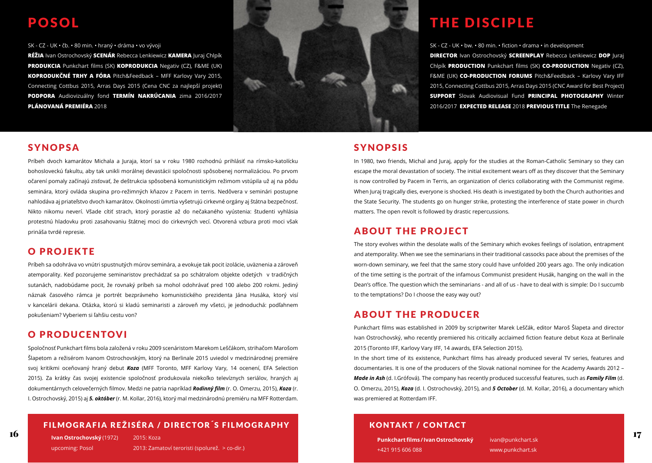### POSOL

SK - CZ - UK • čb. • 80 min. • hraný • dráma • vo vývoji

**RÉŽIA** Ivan Ostrochovský **SCENÁR** Rebecca Lenkiewicz **KAMERA** Juraj Chlpík **PRODUKCIA** Punkchart films (SK) **KOPRODUKCIA** Negativ (CZ), F&ME (UK) **KOPRODUKČNÉ TRHY A FÓRA** Pitch&Feedback – MFF Karlovy Vary 2015, Connecting Cottbus 2015, Arras Days 2015 (Cena CNC za najlepší projekt) **PODPORA** Audiovizuálny fond **TERMÍN NAKRÚCANIA** zima 2016/2017 **PLÁNOVANÁ PREMIÉRA** 2018



#### SYNOPSA

Príbeh dvoch kamarátov Michala a Juraja, ktorí sa v roku 1980 rozhodnú prihlásiť na rímsko-katolícku bohosloveckú fakultu, aby tak unikli morálnej devastácii spoločnosti spôsobenej normalizáciou. Po prvom očarení pomaly začínajú zisťovať, že deštrukcia spôsobená komunistickým režimom vstúpila už aj na pôdu seminára, ktorý ovláda skupina pro-režimných kňazov z Pacem in terris. Nedôvera v seminári postupne nahlodáva aj priateľstvo dvoch kamarátov. Okolnosti úmrtia vyšetrujú cirkevné orgány aj štátna bezpečnosť. Nikto nikomu neverí. Všade cítiť strach, ktorý porastie až do nečakaného vyústenia: študenti vyhlásia protestnú hladovku proti zasahovaniu štátnej moci do cirkevných vecí. Otvorená vzbura proti moci však prináša tvrdé represie.

#### O PROJEKTE

Príbeh sa odohráva vo vnútri spustnutých múrov seminára, a evokuje tak pocit izolácie, uväznenia a zároveň atemporality. Keď pozorujeme seminaristov prechádzať sa po schátralom objekte odetých v tradičných sutanách, nadobúdame pocit, že rovnaký príbeh sa mohol odohrávať pred 100 alebo 200 rokmi. Jediný náznak časového rámca je portrét bezprávneho komunistického prezidenta Jána Husáka, ktorý visí v kancelárii dekana. Otázka, ktorú si kladú seminaristi a zároveň my všetci, je jednoduchá: podľahnem pokušeniam? Vyberiem si ľahšiu cestu von?

#### O PRODUCENTOVI

Spoločnosť Punkchart films bola založená v roku 2009 scenáristom Marekom Leščákom, strihačom Marošom Šlapetom a režisérom Ivanom Ostrochovským, ktorý na Berlinale 2015 uviedol v medzinárodnej premiére svoj kritikmi oceňovaný hraný debut *Koza* (MFF Toronto, MFF Karlovy Vary, 14 ocenení, EFA Selection 2015). Za krátky čas svojej existencie spoločnosť produkovala niekoľko televíznych seriálov, hraných aj dokumentárnych celovečerných filmov. Medzi ne patria napríklad *Rodinný film* (r. O. Omerzu, 2015), *Koza* (r. I. Ostrochovský, 2015) aj *5. október* (r. M. Kollar, 2016), ktorý mal medzinárodnú premiéru na MFF Rotterdam.

#### FILMOGRAFIA REŽISÉRA / DIRECTOR´S FILMOGRAPHY

16 17 **Ivan Ostrochovský** (1972) upcoming: Posol 2015: Koza 2013: Zamatoví teroristi (spolurež. > co-dir.)

### THE DISCIPLE

SK - CZ - UK • bw. • 80 min. • fiction • drama • in development **DIRECTOR** Ivan Ostrochovský **SCREENPLAY** Rebecca Lenkiewicz **DOP** Juraj Chlpík **PRODUCTION** Punkchart films (SK) **CO-PRODUCTION** Negativ (CZ), F&ME (UK) **CO-PRODUCTION FORUMS** Pitch&Feedback – Karlovy Vary IFF 2015, Connecting Cottbus 2015, Arras Days 2015 (CNC Award for Best Project) **SUPPORT** Slovak Audiovisual Fund **PRINCIPAL PHOTOGRAPHY** Winter 2016/2017 **EXPECTED RELEASE** 2018 **PREVIOUS TITLE** The Renegade

#### SYNOPSIS

In 1980, two friends, Michal and Juraj, apply for the studies at the Roman-Catholic Seminary so they can escape the moral devastation of society. The initial excitement wears off as they discover that the Seminary is now controlled by Pacem in Terris, an organization of clerics collaborating with the Communist regime. When Juraj tragically dies, everyone is shocked. His death is investigated by both the Church authorities and the State Security. The students go on hunger strike, protesting the interference of state power in church matters. The open revolt is followed by drastic repercussions.

#### ABOUT THE PROJECT

The story evolves within the desolate walls of the Seminary which evokes feelings of isolation, entrapment and atemporality. When we see the seminarians in their traditional cassocks pace about the premises of the worn-down seminary, we feel that the same story could have unfolded 200 years ago. The only indication of the time setting is the portrait of the infamous Communist president Husák, hanging on the wall in the Dean's office. The question which the seminarians - and all of us - have to deal with is simple: Do I succumb to the temptations? Do I choose the easy way out?

#### ABOUT THE PRODUCER

Punkchart films was established in 2009 by scriptwriter Marek Leščák, editor Maroš Šlapeta and director Ivan Ostrochovský, who recently premiered his critically acclaimed fiction feature debut Koza at Berlinale 2015 (Toronto IFF, Karlovy Vary IFF, 14 awards, EFA Selection 2015).

In the short time of its existence, Punkchart films has already produced several TV series, features and documentaries. It is one of the producers of the Slovak national nominee for the Academy Awards 2012 – *Made in Ash* (d. I.Grófová). The company has recently produced successful features, such as *Family Film* (d. O. Omerzu, 2015), *Koza* (d. I. Ostrochovský, 2015), and *5 October* (d. M. Kollar, 2016), a documentary which was premiered at Rotterdam IFF.

#### KONTAKT / CONTACT

**Punkchart films / Ivan Ostrochovský** +421 915 606 088

ivan@punkchart.sk www.punkchart.sk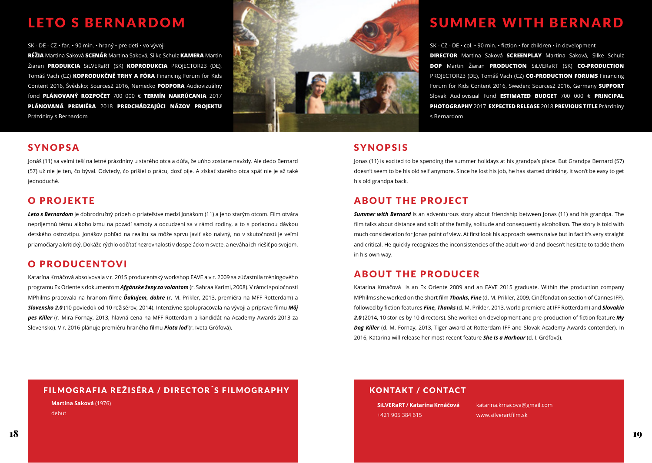### LETO S BERNARDOM

SK - DE - CZ • far. • 90 min. • hraný • pre deti • vo vývoji

**RÉŽIA** Martina Saková **SCENÁR** Martina Saková, Silke Schulz **KAMERA** Martin Žiaran **PRODUKCIA** SiLVERaRT (SK) **KOPRODUKCIA** PROJECTOR23 (DE), Tomáš Vach (CZ) **KOPRODUKČNÉ TRHY A FÓRA** Financing Forum for Kids Content 2016, Švédsko; Sources2 2016, Nemecko **PODPORA** Audiovizuálny fond **PLÁNOVANÝ ROZPOČET** 700 000 € **TERMÍN NAKRÚCANIA** 2017 **PLÁNOVANÁ PREMIÉRA** 2018 **PREDCHÁDZAJÚCI NÁZOV PROJEKTU** Prázdniny s Bernardom



#### SYNOPSA

Jonáš (11) sa veľmi teší na letné prázdniny u starého otca a dúfa, že uňho zostane navždy. Ale dedo Bernard (57) už nie je ten, čo býval. Odvtedy, čo prišiel o prácu, dosť pije. A získať starého otca späť nie je až také jednoduché.

#### O PROJEKTE

*Leto s Bernardom* je dobrodružný príbeh o priateľstve medzi Jonášom (11) a jeho starým otcom. Film otvára nepríjemnú tému alkoholizmu na pozadí samoty a odcudzení sa v rámci rodiny, a to s poriadnou dávkou detského ostrovtipu. Jonášov pohľad na realitu sa môže sprvu javiť ako naivný, no v skutočnosti je veľmi priamočiary a kritický. Dokáže rýchlo odčítať nezrovnalosti v dospeláckom svete, a neváha ich riešiť po svojom.

#### O PRODUCENTOVI

Katarína Krnáčová absolvovala v r. 2015 producentský workshop EAVE a v r. 2009 sa zúčastnila tréningového programu Ex Oriente s dokumentom *Afgánske ženy za volantom* (r. Sahraa Karimi, 2008). V rámci spoločnosti MPhilms pracovala na hranom filme *Ďakujem, dobre* (r. M. Prikler, 2013, premiéra na MFF Rotterdam) a *Slovensko 2.0* (10 poviedok od 10 režisérov, 2014). Intenzívne spolupracovala na vývoji a príprave filmu *Môj pes Killer* (r. Mira Fornay, 2013, hlavná cena na MFF Rotterdam a kandidát na Academy Awards 2013 za Slovensko). V r. 2016 plánuje premiéru hraného filmu *Piata loď* (r. Iveta Grófová).

### SUMMER WITH BERNARD

SK - CZ - DE • col. • 90 min. • fiction • for children • in development **DIRECTOR** Martina Saková **SCREENPLAY** Martina Saková, Silke Schulz **DOP** Martin Žiaran **PRODUCTION** SiLVERaRT (SK) **CO-PRODUCTION** PROJECTOR23 (DE), Tomáš Vach (CZ) **CO-PRODUCTION FORUMS** Financing Forum for Kids Content 2016, Sweden; Sources2 2016, Germany **SUPPORT** Slovak Audiovisual Fund **ESTIMATED BUDGET** 700 000 € **PRINCIPAL PHOTOGRAPHY** 2017 **EXPECTED RELEASE** 2018 **PREVIOUS TITLE** Prázdniny s Bernardom

#### SYNOPSIS

Jonas (11) is excited to be spending the summer holidays at his grandpa's place. But Grandpa Bernard (57) doesn't seem to be his old self anymore. Since he lost his job, he has started drinking. It won't be easy to get his old grandpa back.

#### ABOUT THE PROJECT

*Summer with Bernard* is an adventurous story about friendship between Jonas (11) and his grandpa. The film talks about distance and split of the family, solitude and consequently alcoholism. The story is told with much consideration for Jonas point of view. At first look his approach seems naive but in fact it's very straight and critical. He quickly recognizes the inconsistencies of the adult world and doesn't hesitate to tackle them in his own way.

#### ABOUT THE PRODUCER

Katarina Krnáčová is an Ex Oriente 2009 and an EAVE 2015 graduate. Within the production company MPhilms she worked on the short film *Thanks, Fine* (d. M. Prikler, 2009, Cinéfondation section of Cannes IFF), followed by fiction features *Fine, Thanks* (d. M. Prikler, 2013, world premiere at IFF Rotterdam) and *Slovakia 2.0* (2014, 10 stories by 10 directors). She worked on development and pre-production of fiction feature *My Dog Killer* (d. M. Fornay, 2013, Tiger award at Rotterdam IFF and Slovak Academy Awards contender). In 2016, Katarina will release her most recent feature *She Is a Harbour* (d. I. Grófová).

#### FILMOGRAFIA REŽISÉRA / DIRECTOR´S FILMOGRAPHY

**Martina Saková** (1976) debut

#### KONTAKT / CONTACT

**SiLVERaRT / Katarína Krnáčová** +421 905 384 615

katarina.krnacova@gmail.com www.silverartfilm.sk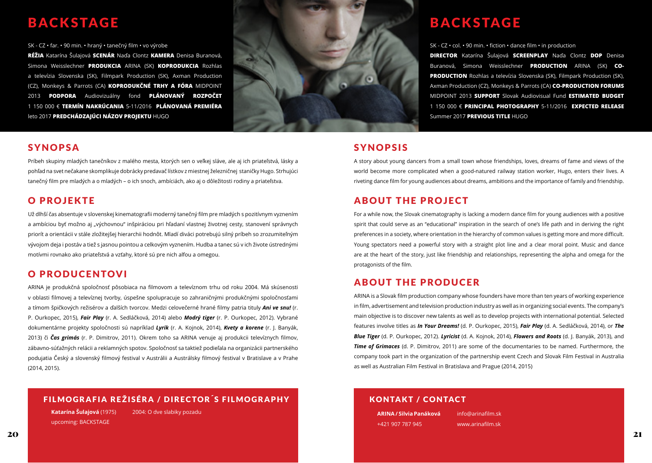### BACKSTAGE

SK - CZ • far. • 90 min. • hraný • tanečný film • vo výrobe

**RÉŽIA** Katarína Šulajová **SCENÁR** Naďa Clontz **KAMERA** Denisa Buranová, Simona Weisslechner **PRODUKCIA** ARINA (SK) **KOPRODUKCIA** Rozhlas a televízia Slovenska (SK), Filmpark Production (SK), Axman Production (CZ), Monkeys & Parrots (CA) **KOPRODUKČNÉ TRHY A FÓRA** MIDPOINT 2013 **PODPORA** Audiovizuálny fond **PLÁNOVANÝ ROZPOČET** 1 150 000 € **TERMÍN NAKRÚCANIA** 5-11/2016 **PLÁNOVANÁ PREMIÉRA** leto 2017 **PREDCHÁDZAJÚCI NÁZOV PROJEKTU** HUGO



#### SYNOPSA

Príbeh skupiny mladých tanečníkov z malého mesta, ktorých sen o veľkej sláve, ale aj ich priateľstvá, lásky a pohľad na svet nečakane skomplikuje dobrácky predavač lístkov z miestnej železničnej staničky Hugo. Strhujúci tanečný film pre mladých a o mladých – o ich snoch, ambíciách, ako aj o dôležitosti rodiny a priateľstva.

#### O PROJEKTE

Už dlhší čas absentuje v slovenskej kinematografii moderný tanečný film pre mladých s pozitívnym vyznením a ambíciou byť možno aj "výchovnou" inšpiráciou pri hľadaní vlastnej životnej cesty, stanovení správnych priorít a orientácii v stále zložitejšej hierarchii hodnôt. Mladí diváci potrebujú silný príbeh so zrozumiteľným vývojom deja i postáv a tiež s jasnou pointou a celkovým vyznením. Hudba a tanec sú v ich živote ústrednými motívmi rovnako ako priateľstvá a vzťahy, ktoré sú pre nich alfou a omegou.

#### O PRODUCENTOVI

ARINA je produkčná spoločnosť pôsobiaca na filmovom a televíznom trhu od roku 2004. Má skúsenosti v oblasti filmovej a televíznej tvorby, úspešne spolupracuje so zahraničnými produkčnými spoločnosťami a tímom špičkových režisérov a ďalších tvorcov. Medzi celovečerné hrané filmy patria tituly *Ani ve snu!* (r. P. Ourkopec, 2015), *Fair Play* (r. A. Sedláčková, 2014) alebo *Modrý tiger* (r. P. Ourkopec, 2012). Vybrané dokumentárne projekty spoločnosti sú napríklad *Lyrik* (r. A. Kojnok, 2014), *Kvety a korene* (r. J. Banyák, 2013) či *Čas grimás* (r. P. Dimitrov, 2011). Okrem toho sa ARINA venuje aj produkcii televíznych filmov, zábavno-súťažných relácii a reklamných spotov. Spoločnosť sa taktiež podieľala na organizácii partnerského podujatia Český a slovenský filmový festival v Austrálii a Austrálsky filmový festival v Bratislave a v Prahe (2014, 2015).

#### FILMOGRAFIA REŽISÉRA / DIRECTOR´S FILMOGRAPHY

**Katarína Šulajová** (1975) upcoming: BACKSTAGE 2004: O dve slabiky pozadu BACKSTAGE

SK - CZ • col. • 90 min. • fiction • dance film • in production

**DIRECTOR** Katarína Šulajová **SCREENPLAY** Naďa Clontz **DOP** Denisa Buranová, Simona Weisslechner **PRODUCTION** ARINA (SK) **CO-PRODUCTION** Rozhlas a televízia Slovenska (SK), Filmpark Production (SK), Axman Production (CZ), Monkeys & Parrots (CA) **CO-PRODUCTION FORUMS** MIDPOINT 2013 **SUPPORT** Slovak Audiovisual Fund **ESTIMATED BUDGET** 1 150 000 € **PRINCIPAL PHOTOGRAPHY** 5-11/2016 **EXPECTED RELEASE** Summer 2017 **PREVIOUS TITLE** HUGO

#### SYNOPSIS

A story about young dancers from a small town whose friendships, loves, dreams of fame and views of the world become more complicated when a good-natured railway station worker, Hugo, enters their lives. A riveting dance film for young audiences about dreams, ambitions and the importance of family and friendship.

#### ABOUT THE PROJECT

For a while now, the Slovak cinematography is lacking a modern dance film for young audiences with a positive spirit that could serve as an "educational" inspiration in the search of one's life path and in deriving the right preferences in a society, where orientation in the hierarchy of common values is getting more and more difficult. Young spectators need a powerful story with a straight plot line and a clear moral point. Music and dance are at the heart of the story, just like friendship and relationships, representing the alpha and omega for the protagonists of the film.

#### ABOUT THE PRODUCER

ARINA is a Slovak film production company whose founders have more than ten years of working experience in film, advertisement and television production industry as well as in organizing social events. The company's main objective is to discover new talents as well as to develop projects with international potential. Selected features involve titles as *In Your Dreams!* (d. P. Ourkopec, 2015), *Fair Play* (d. A. Sedláčková, 2014), or *The Blue Tiger* (d. P. Ourkopec, 2012). *Lyricist* (d. A. Kojnok, 2014), *Flowers and Roots* (d. J. Banyák, 2013), and *Time of Grimaces* (d. P. Dimitrov, 2011) are some of the documentaries to be named. Furthermore, the company took part in the organization of the partnership event Czech and Slovak Film Festival in Australia as well as Australian Film Festival in Bratislava and Prague (2014, 2015)

#### KONTAKT / CONTACT

**ARINA / Silvia Panáková** +421 907 787 945

info@arinafilm.sk www.arinafilm.sk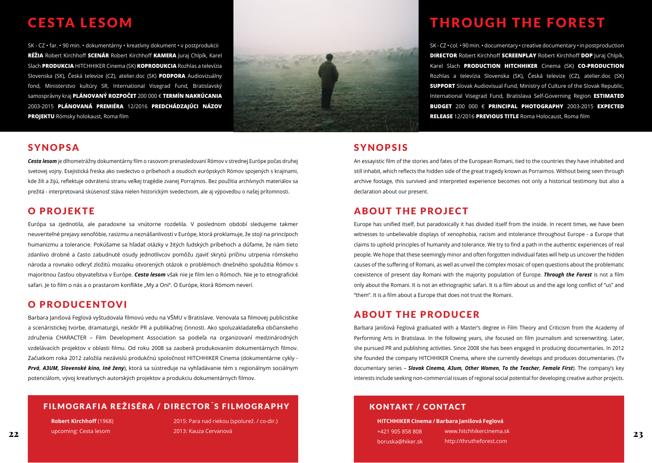### CESTA LESOM

SK - CZ • far. • 90 min. • dokumentárny • kreatívny dokument • v postprodukcii **RÉŽIA** Robert Kirchhoff **SCENÁR** Robert Kirchhoff **KAMERA** Juraj Chlpík, Karel Slach **PRODUKCIA** HITCHHIKER Cinema (SK) **KOPRODUKCIA** Rozhlas a televízia Slovenska (SK), Česká televize (CZ), atelier.doc (SK) **PODPORA** Audiovizuálny fond, Ministerstvo kultúry SR, International Visegrad Fund, Bratislavský samosprávny kraj **PLÁNOVANÝ ROZPOČET** 200 000 € **TERMÍN NAKRÚCANIA** 2003-2015 **PLÁNOVANÁ PREMIÉRA** 12/2016 **PREDCHÁDZAJÚCI NÁZOV PROJEKTU** Rómsky holokaust, Roma film



#### SYNOPSA

*Cesta lesom* je dlhometrážny dokumentárny film o rasovom prenasledovaní Rómov v strednej Európe počas druhej svetovej vojny. Esejistická freska ako svedectvo o príbehoch a osudoch európskych Rómov spojených s krajinami, kde žili a žijú, reflektuje odvrátenú stranu veľkej tragédie zvanej Porrajmos. Bez použitia archívnych materiálov sa prežitá - interpretovaná skúsenosť stáva nielen historickým svedectvom, ale aj výpoveďou o našej prítomnosti.

#### O PROJEKTE

Európa sa zjednotila, ale paradoxne sa vnútorne rozdelila. V poslednom období sledujeme takmer neuveriteľné prejavy xenofóbie, rasizmu a neznášanlivosti v Európe, ktorá proklamuje, že stojí na princípoch humanizmu a tolerancie. Pokúšame sa hľadať otázky v žitých ľudských príbehoch a dúfame, že nám tieto zdanlivo drobné a často zabudnuté osudy jednotlivcov pomôžu zjaviť skrytú príčinu utrpenia rómskeho národa a rovnako odkryť zložitú mozaiku otvorených otázok o problémoch dnešného spolužitia Rómov s majoritnou časťou obyvateľstva v Európe. *Cesta lesom* však nie je film len o Rómoch. Nie je to etnografické safari. Je to film o nás a o prastarom konflikte "My a Oni". O Európe, ktorá Rómom neverí.

#### O PRODUCENTOVI

Barbara Janišová Feglová vyštudovala filmovú vedu na VŠMU v Bratislave. Venovala sa filmovej publicistike a scenáristickej tvorbe, dramaturgii, neskôr PR a publikačnej činnosti. Ako spoluzakladateľka občianskeho združenia CHARACTER – Film Development Association sa podieľa na organizovaní medzinárodných vzdelávacích projektov v oblasti filmu. Od roku 2008 sa zaoberá produkovaním dokumentárnych filmov. Začiatkom roka 2012 založila nezávislú produkčnú spoločnosť HITCHHIKER Cinema (dokumentárne cykly - *Prvá, A3UM, Slovenské kino, Iné ženy*), ktorá sa sústreďuje na vyhľadávanie tém s regionálnym sociálnym potenciálom, vývoj kreatívnych autorských projektov a produkciu dokumentárnych filmov.

#### FILMOGRAFIA REŽISÉRA / DIRECTOR´S FILMOGRAPHY

**Robert Kirchhoff** (1968)

upcoming: Cesta lesom

2015: Para nad riekou (spolurež. / co-dir.) 2013: Kauza Cervanová

### THROUGH THE FOREST

SK - CZ • col.• 90 min.• documentary • creative documentary • in postproduction **DIRECTOR** Robert Kirchhoff **SCREENPLAY** Robert Kirchhoff **DOP** Juraj Chlpík, Karel Slach **PRODUCTION HITCHHIKER** Cinema (SK) **CO-PRODUCTION**  Rozhlas a televízia Slovenska (SK), Česká televize (CZ), atelier.doc (SK) **SUPPORT** Slovak Audiovisual Fund, Ministry of Culture of the Slovak Republic, International Visegrad Fund, Bratislava Self-Governing Region **ESTIMATED BUDGET** 200 000 € **PRINCIPAL PHOTOGRAPHY** 2003-2015 **EXPECTED RELEASE** 12/2016 **PREVIOUS TITLE** Roma Holocaust, Roma film

#### SYNOPSIS

An essayistic film of the stories and fates of the European Romani, tied to the countries they have inhabited and still inhabit, which reflects the hidden side of the great tragedy known as Porraimos. Without being seen through archive footage, this survived and interpreted experience becomes not only a historical testimony but also a declaration about our present.

#### ABOUT THE PROJECT

Europe has unified itself, but paradoxically it has divided itself from the inside. In recent times, we have been witnesses to unbelievable displays of xenophobia, racism and intolerance throughout Europe - a Europe that claims to uphold principles of humanity and tolerance. We try to find a path in the authentic experiences of real people. We hope that these seemingly minor and often forgotten individual fates will help us uncover the hidden causes of the suffering of Romani, as well as unveil the complex mosaic of open questions about the problematic coexistence of present day Romani with the majority population of Europe. *Through the Forest* is not a film only about the Romani. It is not an ethnographic safari. It is a film about us and the age long conflict of "us" and "them". It is a film about a Europe that does not trust the Romani.

#### ABOUT THE PRODUCER

Barbara Janišová Feglová graduated with a Master's degree in Film Theory and Criticism from the Academy of Performing Arts in Bratislava. In the following years, she focused on film journalism and screenwriting. Later, she pursued PR and publishing activities. Since 2008 she has been engaged in producing documentaries. In 2012 she founded the company HITCHHIKER Cinema, where she currently develops and produces documentaries. (Tv documentary series – *Slovak Cinema, A3um, Other Women, To the Teacher, Female First*). The company's key interests include seeking non-commercial issues of regional social potential for developing creative author projects.

#### KONTAKT / CONTACT

22 Depreming: Cesta lesom and the control of the 2013: Kauza Cervanová depremient de la control de la control de la control de la control de la control de la control de la control de la control de la control de la control **HITCHHIKER Cinema / Barbara Janišová Feglová**  +421 905 858 808 boruska@hiker.sk www.hitchhikercinema.sk http://thrutheforest.com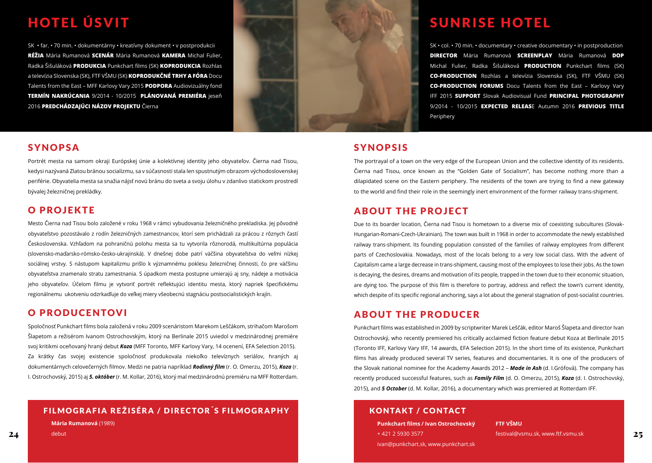## HOTEL ÚSVIT

SK • far. • 70 min. • dokumentárny • kreatívny dokument • v postprodukcii **RÉŽIA** Mária Rumanová **SCENÁR** Mária Rumanová **KAMERA** Michal Fulier, Radka Šišuláková **PRODUKCIA** Punkchart films (SK) **KOPRODUKCIA** Rozhlas a televízia Slovenska (SK), FTF VŠMU (SK) **KOPRODUKČNÉ TRHY A FÓRA** Docu Talents from the East – MFF Karlovy Vary 2015 **PODPORA** Audiovizuálny fond **TERMÍN NAKRÚCANIA** 9/2014 - 10/2015 **PLÁNOVANÁ PREMIÉRA** jeseň 2016 **PREDCHÁDZAJÚCI NÁZOV PROJEKTU** Čierna

#### SYNOPSA

Portrét mesta na samom okraji Európskej únie a kolektívnej identity jeho obyvateľov. Čierna nad Tisou, kedysi nazývaná Zlatou bránou socializmu, sa v súčasnosti stala len spustnutým obrazom východoslovenskej periférie. Obyvatelia mesta sa snažia nájsť novú bránu do sveta a svoju úlohu v zdanlivo statickom prostredí bývalej železničnej prekládky.

#### O PROJEKTE

Mesto Čierna nad Tisou bolo založené v roku 1968 v rámci vybudovania železničného prekladiska. Jej pôvodné obyvateľstvo pozostávalo z rodín železničných zamestnancov, ktorí sem prichádzali za prácou z rôznych častí Československa. Vzhľadom na pohraničnú polohu mesta sa tu vytvorila rôznorodá, multikultúrna populácia (slovensko-maďarsko-rómsko-česko-ukrajinská). V dnešnej dobe patrí väčšina obyvateľstva do veľmi nízkej sociálnej vrstvy. S nástupom kapitalizmu prišlo k významnému poklesu železničnej činnosti, čo pre väčšinu obyvateľstva znamenalo stratu zamestnania. S úpadkom mesta postupne umierajú aj sny, nádeje a motivácia jeho obyvateľov. Účelom filmu je vytvoriť portrét reflektujúci identitu mesta, ktorý napriek špecifickému regionálnemu ukotveniu odzrkadľuje do veľkej miery všeobecnú stagnáciu postsocialistických krajín.

#### O PRODUCENTOVI

Spoločnosť Punkchart films bola založená v roku 2009 scenáristom Marekom Leščákom, strihačom Marošom Šlapetom a režisérom Ivanom Ostrochovským, ktorý na Berlinale 2015 uviedol v medzinárodnej premiére svoj kritikmi oceňovaný hraný debut *Koza* (MFF Toronto, MFF Karlovy Vary, 14 ocenení, EFA Selection 2015). Za krátky čas svojej existencie spoločnosť produkovala niekoľko televíznych seriálov, hraných aj dokumentárnych celovečerných filmov. Medzi ne patria napríklad *Rodinný film* (r. O. Omerzu, 2015), *Koza* (r. I. Ostrochovský, 2015) aj *5. október* (r. M. Kollar, 2016), ktorý mal medzinárodnú premiéru na MFF Rotterdam.

#### FILMOGRAFIA REŽISÉRA / DIRECTOR´S FILMOGRAPHY

**Mária Rumanová** (1989)

debut

### **SUNRISE HOTEL**

SK • col. • 70 min. • documentary • creative documentary • in postproduction **DIRECTOR** Mária Rumanová **SCREENPLAY** Mária Rumanová **DOP** Michal Fulier, Radka Šišuláková **PRODUCTION** Punkchart films (SK) **CO-PRODUCTION** Rozhlas a televízia Slovenska (SK), FTF VŠMU (SK) **CO-PRODUCTION FORUMS** Docu Talents from the East – Karlovy Vary IFF 2015 **SUPPORT** Slovak Audiovisual Fund **PRINCIPAL PHOTOGRAPHY** 9/2014 - 10/2015 **EXPECTED RELEAS**E Autumn 2016 **PREVIOUS TITLE** Periphery

#### SYNOPSIS

The portrayal of a town on the very edge of the European Union and the collective identity of its residents. Čierna nad Tisou, once known as the "Golden Gate of Socialism", has become nothing more than a dilapidated scene on the Eastern periphery. The residents of the town are trying to find a new gateway to the world and find their role in the seemingly inert environment of the former railway trans-shipment.

#### ABOUT THE PROJECT

Due to its boarder location, Čierna nad Tisou is hometown to a diverse mix of coexisting subcultures (Slovak-Hungarian-Romani-Czech-Ukrainian). The town was built in 1968 in order to accommodate the newly established railway trans-shipment. Its founding population consisted of the families of railway employees from different parts of Czechoslovakia. Nowadays, most of the locals belong to a very low social class. With the advent of Capitalism came a large decrease in trans-shipment, causing most of the employees to lose their jobs. As the town is decaying, the desires, dreams and motivation of its people, trapped in the town due to their economic situation, are dying too. The purpose of this film is therefore to portray, address and reflect the town's current identity, which despite of its specific regional anchoring, says a lot about the general stagnation of post-socialist countries.

#### ABOUT THE PRODUCER

Punkchart films was established in 2009 by scriptwriter Marek Leščák, editor Maroš Šlapeta and director Ivan Ostrochovský, who recently premiered his critically acclaimed fiction feature debut Koza at Berlinale 2015 (Toronto IFF, Karlovy Vary IFF, 14 awards, EFA Selection 2015). In the short time of its existence, Punkchart films has already produced several TV series, features and documentaries. It is one of the producers of the Slovak national nominee for the Academy Awards 2012 – *Made in Ash* (d. I.Grófová). The company has recently produced successful features, such as *Family Film* (d. O. Omerzu, 2015), *Koza* (d. I. Ostrochovský, 2015), and *5 October* (d. M. Kollar, 2016), a documentary which was premiered at Rotterdam IFF.

#### KONTAKT / CONTACT

**Punkchart films / Ivan Ostrochovský** + 421 2 5930 3577 ivan@punkchart.sk, www.punkchart.sk

 $24$  debut debut and the control of the control of the control of the control of the control of the control of the control of the control of the control of the control of the control of the control of the control of the c **FTF VŠMU** festival@vsmu.sk, www.ftf.vsmu.sk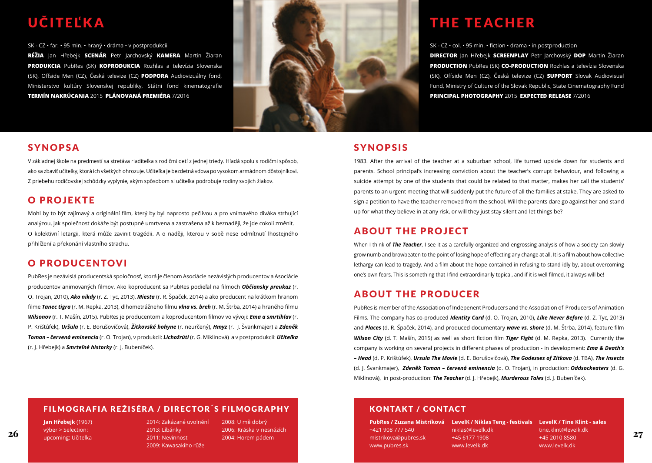## <u>UČITEĽKA</u>

SK - CZ • far. • 95 min. • hraný • dráma • v postprodukcii

**RÉŽIA** Jan Hřebejk **SCENÁR** Petr Jarchovský **KAMERA** Martin Žiaran **PRODUKCIA** PubRes (SK) **KOPRODUKCIA** Rozhlas a televízia Slovenska (SK), Offside Men (CZ), Česká televize (CZ) **PODPORA** Audiovizuálny fond, Ministerstvo kultúry Slovenskej republiky, Státni fond kinematografie **TERMÍN NAKRÚCANIA** 2015 **PLÁNOVANÁ PREMIÉRA** 7/2016



#### SYNOPSA

V základnej škole na predmestí sa stretáva riaditeľka s rodičmi detí z jednej triedy. Hľadá spolu s rodičmi spôsob, ako sa zbaviť učiteľky, ktorá ich všetkých ohrozuje. Učiteľka je bezdetná vdova po vysokom armádnom dôstojníkovi. Z priebehu rodičovskej schôdzky vyplynie, akým spôsobom si učiteľka podrobuje rodiny svojich žiakov.

#### O PROJEKTE

Mohl by to být zajímavý a originální film, který by byl naprosto pečlivou a pro vnímavého diváka strhující analýzou, jak společnost dokáže být postupně umrtvena a zastrašena až k beznaději, že jde cokoli změnit. O kolektivní letargii, která může zavinit tragédii. A o naději, kterou v sobě nese odmítnutí lhostejného přihlížení a překonání vlastního strachu.

#### O PRODUCENTOVI

PubRes je nezávislá producentská spoločnosť, ktorá je členom Asociácie nezávislých producentov a Asociácie producentov animovaných filmov. Ako koproducent sa PubRes podieľal na filmoch *Občiansky preukaz* (r. O. Trojan, 2010), *Ako nikdy* (r. Z. Tyc, 2013), *Miesta* (r. R. Špaček, 2014) a ako producent na krátkom hranom filme *Tanec tigra* (r. M. Repka, 2013), dlhometrážneho filmu *vlna vs. breh* (r. M. Štrba, 2014) a hraného filmu *Wilsonov* (r. T. Mašín, 2015). PubRes je producentom a koproducentom filmov vo vývoji: *Ema a smrtihlav* (r. P. Krištúfek), *Uršula* (r. E. Borušovičová), *Žitkovské bohyne* (r. neurčený), *Hmyz* (r. J. Švankmajer) a *Zdeněk Toman – červená eminencia* (r. O. Trojan), v produkcii: *Lichožrúti* (r. G. Miklinová) a v postprodukcii: *Učiteľka*  (r. J. Hřebejk) a *Smrteľné historky* (r. J. Bubeníček).

### THE TEACHER

SK - CZ • col. • 95 min. • fiction • drama • in postproduction **DIRECTOR** Jan Hřebejk **SCREENPLAY** Petr Jarchovský **DOP** Martin Žiaran **PRODUCTION** PubRes (SK) **CO-PRODUCTION** Rozhlas a televízia Slovenska (SK), Offside Men (CZ), Česká televize (CZ) **SUPPORT** Slovak Audiovisual Fund, Ministry of Culture of the Slovak Republic, State Cinematography Fund **PRINCIPAL PHOTOGRAPHY** 2015 **EXPECTED RELEASE** 7/2016

#### SYNOPSIS

1983. After the arrival of the teacher at a suburban school, life turned upside down for students and parents. School principal's increasing conviction about the teacher's corrupt behaviour, and following a suicide attempt by one of the students that could be related to that matter, makes her call the students' parents to an urgent meeting that will suddenly put the future of all the families at stake. They are asked to sign a petition to have the teacher removed from the school. Will the parents dare go against her and stand up for what they believe in at any risk, or will they just stay silent and let things be?

#### ABOUT THE PROJECT

When I think of **The Teacher**, I see it as a carefully organized and engrossing analysis of how a society can slowly grow numb and browbeaten to the point of losing hope of effecting any change at all. It is a film about how collective lethargy can lead to tragedy. And a film about the hope contained in refusing to stand idly by, about overcoming one's own fears. This is something that I find extraordinarily topical, and if it is well filmed, it always will be!

#### ABOUT THE PRODUCER

PubRes is member of the Association of Indepenent Producers and the Association of Producers of Animation Films. The company has co-produced *Identity Card* (d. O. Trojan, 2010), *Like Never Before* (d. Z. Tyc, 2013) and *Places* (d. R. Špaček, 2014), and produced documentary *wave vs. shore* (d. M. Štrba, 2014), feature film *Wilson City* (d. T. Mašín, 2015) as well as short fiction film *Tiger Fight* (d. M. Repka, 2013). Currently the company is working on several projects in different phases of production - in development: *Ema & Death's – Head* (d. P. Krištúfek), *Ursula The Movie* (d. E. Borušovičová), *The Godesses of Zitkova* (d. TBA), *The Insects* (d. J. Švankmajer), *Zdeněk Toman – červená eminencia* (d. O. Trojan), in production: *Oddsockeaters* (d. G. Miklinová), in post-production: *The Teacher* (d. J. Hřebejk), *Murderous Tales* (d. J. Bubeníček).

#### FILMOGRAFIA REŽISÉRA / DIRECTOR´S FILMOGRAPHY

**Jan Hřebejk** (1967) výber > Selection: upcoming: Učiteľka

 $\frac{26}{200}$  by the current of the current control of the current control of the current current current current current current current current current current current current current current current current current curr 2014: Zakázané uvolnění 2013: Líbánky 2011: Nevinnost 2009: Kawasakiho růže

2008: U mě dobrý 2006: Kráska v nesnázích 2004: Horem pádem

#### KONTAKT / CONTACT

+421 908 777 540 mistrikova@pubres.sk www.pubres.sk

niklas@levelk.dk +45 6177 1908 www.levelk.dk

**PubRes / Zuzana Mistríková LevelK / Niklas Teng - festivals LevelK / Tine Klint - sales** tine.klint@levelk.dk +45 2010 8580 www.levelk.dk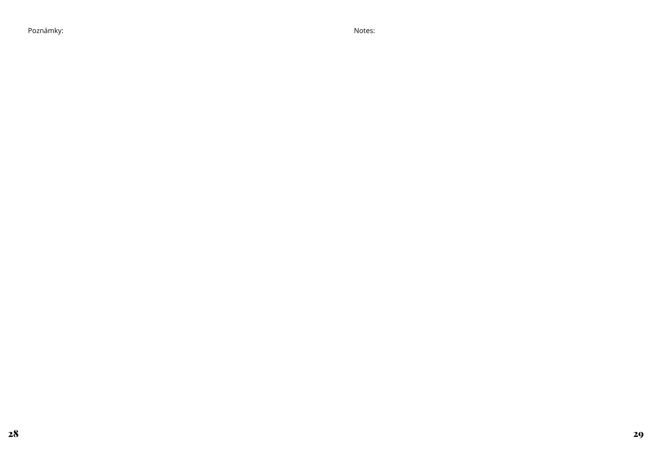Poznámky: Notes: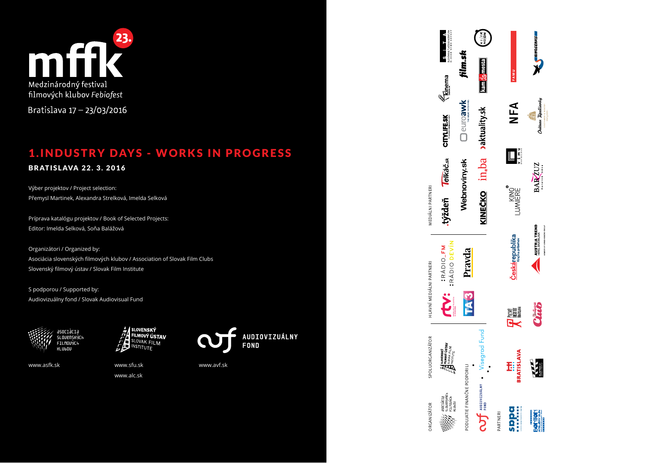

Bratislava 17 - 23/03/2016

### 1. INDUSTRY DAYS - WORKS IN PROGRESS

#### **BRATISLAVA 22. 3. 2016**

Výber projektov / Project selection: Přemysl Martinek, Alexandra Strelková, Imelda Selková

Príprava katalógu projektov / Book of Selected Projects: Editor: Imelda Selková, Soňa Balážová

Organizátori / Organized by: Asociácia slovenských filmových klubov / Association of Slovak Film Clubs Slovenský filmový ústav / Slovak Film Institute

S podporou / Supported by: Audiovizuálny fond / Slovak Audiovisual Fund





www.asfk.sk www.sfu.sk

NSTITUTE

www.alc.sk



www.avf.sk